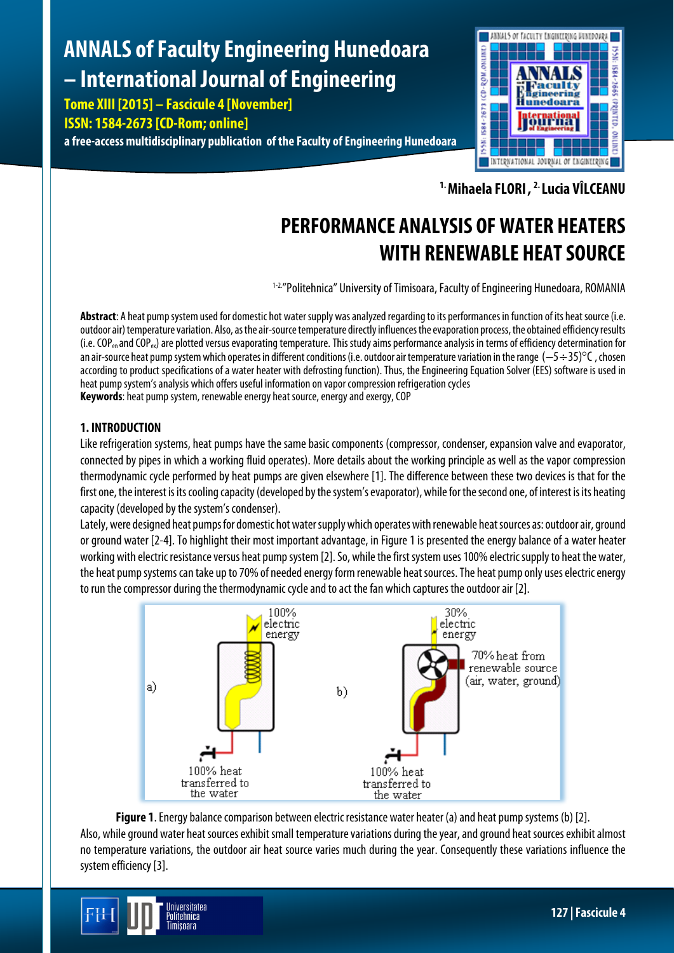# **ANNALS of Faculty Engineering Hunedoara – International Journal of Engineering**

**Tome XIII [2015] – Fascicule 4 [November] ISSN: 1584-2673 [CD-Rom; online] a free-access multidisciplinary publication of the Faculty of Engineering Hunedoara**



**1.Mihaela FLORI, 2.Lucia VÎLCEANU**

# **PERFORMANCE ANALYSIS OF WATER HEATERS WITH RENEWABLE HEAT SOURCE**

1-2."Politehnica" University of Timisoara, Faculty of Engineering Hunedoara, ROMANIA

**Abstract**: A heat pump system used for domestic hot water supply was analyzed regarding to its performances in function of its heat source (i.e. outdoor air) temperature variation. Also, as the air-source temperature directly influences the evaporation process, the obtained efficiency results  $(i.e. COP_{en}$  and  $COP_{ev}$ ) are plotted versus evaporating temperature. This study aims performance analysis in terms of efficiency determination for an air-source heat pump system which operates in different conditions (i.e. outdoor air temperature variation in the range (−5÷35)°C , chosen according to product specifications of a water heater with defrosting function). Thus, the Engineering Equation Solver (EES) software is used in heat pump system's analysis which offers useful information on vapor compression refrigeration cycles **Keywords**: heat pump system, renewable energy heat source, energy and exergy, COP

# **1. INTRODUCTION**

Like refrigeration systems, heat pumps have the same basic components (compressor, condenser, expansion valve and evaporator, connected by pipes in which a working fluid operates). More details about the working principle as well as the vapor compression thermodynamic cycle performed by heat pumps are given elsewhere [1]. The difference between these two devices is that for the first one, the interest is its cooling capacity (developed by the system's evaporator), while for the second one, of interest is its heating capacity (developed by the system's condenser).

Lately, were designed heat pumps for domestic hot water supply which operates with renewable heat sources as: outdoor air, ground or ground water [2-4]. To highlight their most important advantage, in Figure 1 is presented the energy balance of a water heater working with electric resistance versus heat pump system [2]. So, while the first system uses 100% electric supply to heat the water, the heat pump systems can take up to 70% of needed energy form renewable heat sources. The heat pump only uses electric energy to run the compressor during the thermodynamic cycle and to act the fan which captures the outdoor air [2].



**Figure 1**. Energy balance comparison between electric resistance water heater (a) and heat pump systems (b) [2]. Also, while ground water heat sources exhibit small temperature variations during the year, and ground heat sources exhibit almost no temperature variations, the outdoor air heat source varies much during the year. Consequently these variations influence the system efficiency [3].

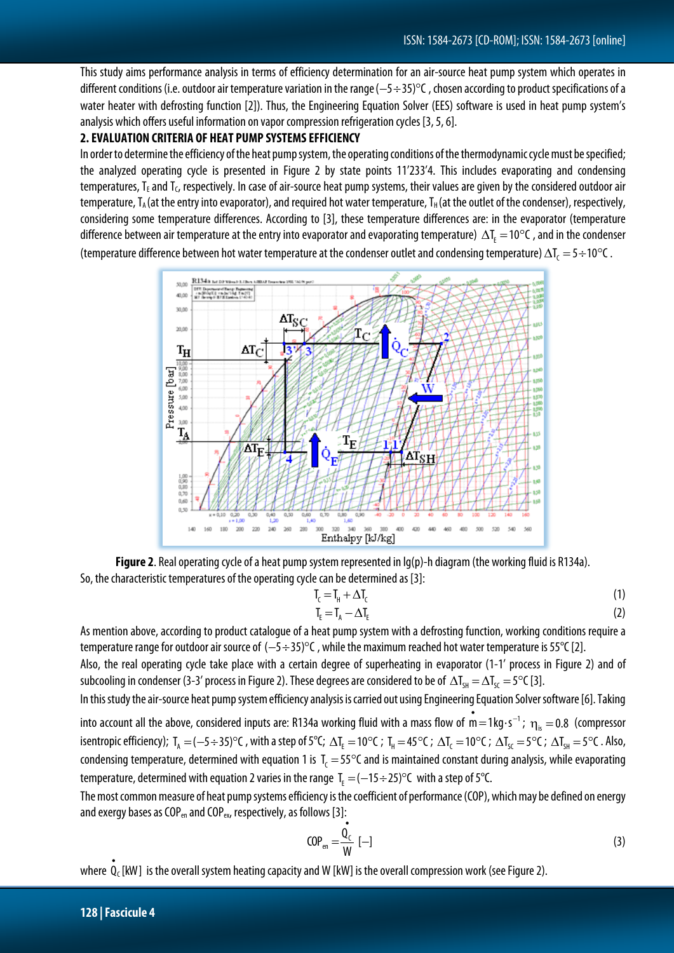This study aims performance analysis in terms of efficiency determination for an air-source heat pump system which operates in different conditions (i.e. outdoor air temperature variation in the range(−5÷35)°C , chosen according to product specifications of a water heater with defrosting function [2]). Thus, the Engineering Equation Solver (EES) software is used in heat pump system's analysis which offers useful information on vapor compression refrigeration cycles [3,5, 6].

## **2. EVALUATION CRITERIA OF HEAT PUMP SYSTEMS EFFICIENCY**

In order to determine the efficiency of the heat pump system, the operating conditions of the thermodynamic cycle must be specified; the analyzed operating cycle is presented in Figure 2 by state points 11'233'4. This includes evaporating and condensing temperatures,  $T_F$  and  $T_C$ , respectively. In case of air-source heat pump systems, their values are given by the considered outdoor air temperature,  $T_A$  (at the entry into evaporator), and required hot water temperature,  $T_H$  (at the outlet of the condenser), respectively, considering some temperature differences. According to [3], these temperature differences are: in the evaporator (temperature difference between air temperature at the entry into evaporator and evaporating temperature)  $\Delta T_{E} = 10^{\circ}$ C, and in the condenser (temperature difference between hot water temperature at the condenser outlet and condensing temperature)  $\Delta T_c = 5 \div 10^{\circ}C$ .



Figure 2. Real operating cycle of a heat pump system represented in lg(p)-h diagram (the working fluid is R134a). So, the characteristic temperatures of the operating cycle can be determined as [3]:

$$
T_c = T_H + \Delta T_c \tag{1}
$$

$$
T_{E} = T_{A} - \Delta T_{E}
$$
 (2)

As mention above, according to product catalogue of a heat pump system with a defrosting function, working conditions require a temperature range for outdoor air source of (−5÷35)°C, while the maximum reached hot water temperature is 55°C [2].

Also, the real operating cycle take place with a certain degree of superheating in evaporator (1-1' process in Figure 2) and of subcooling in condenser (3-3' process in Figure 2). These degrees are considered to be of  $\Delta T_{\rm SI} = \Delta T_{\rm SC} = 5^{\circ}C$  [3].

In this study the air-source heat pump system efficiency analysis is carried out using Engineering Equation Solver software [6]. Taking

into account all the above, considered inputs are: R134a working fluid with a mass flow of  $\stackrel{\bullet}{m}=1$ kg $\cdot$ s<sup>-1</sup>;  $\eta_{\rm is}=$  0.8 (compressor isentropic efficiency);  $T_A = (-5 \div 35)^\circ \text{C}$ , with a step of 5°C;  $\Delta T_F = 10^\circ \text{C}$ ;  $T_H = 45^\circ \text{C}$ ;  $\Delta T_C = 10^\circ \text{C}$ ;  $\Delta T_{SC} = 5^\circ \text{C}$ ;  $\Delta T_{SH} = 5^\circ \text{C}$ . Also, condensing temperature, determined with equation 1 is  $T_c = 55^\circ$ C and is maintained constant during analysis, while evaporating temperature, determined with equation 2 varies in the range  $T_c = (-15 \div 25)$  C with a step of 5°C.

The most common measure of heat pump systems efficiency is the coefficient of performance (COP), which may be defined on energy and exergy bases as COP<sub>en</sub> and COP<sub>ex</sub>, respectively, as follows [3]: •

$$
COP_{en} = \frac{Q_c}{W} [-1]
$$
 (3)

where  $\stackrel{\bullet}{Q}_{\epsilon}$  [kW] is the overall system heating capacity and W [kW] is the overall compression work (see Figure 2).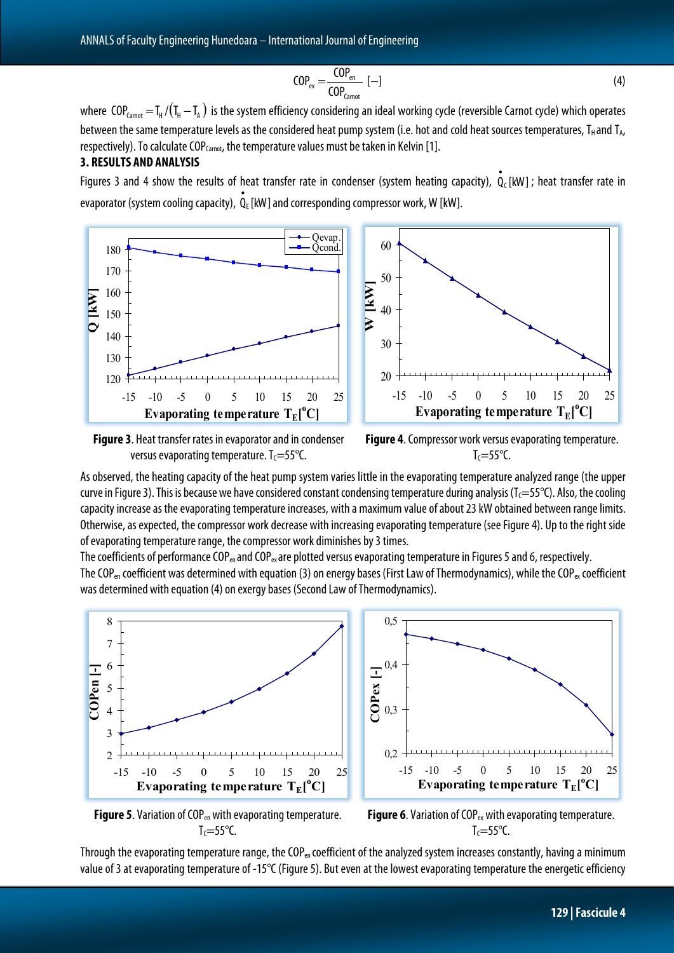$$
COP_{\text{ex}} = \frac{COP_{\text{en}}}{COP_{\text{Carnot}}} [-1]
$$
 (4)

where COP $_{\text{Carnot}}=I_{\text{H}}/(I_{\text{H}}-I_{\text{A}})$  is the system efficiency considering an ideal working cycle (reversible Carnot cycle) which operates between the same temperature levels as the considered heat pump system (i.e. hot and cold heat sources temperatures, T<sub>H</sub> and T<sub>A</sub>, respectively). To calculate COP $_{\text{Carnot}}$ , the temperature values must be taken in Kelvin [1].

### **3. RESULTS AND ANALYSIS**

Figures 3 and 4 show the results of heat transfer rate in condenser (system heating capacity),  $\mathbf{\hat{Q}}_{\text{c}}[\text{kW}]$ ; heat transfer rate in evaporator (system cooling capacity),  $\overset{\bullet}{\mathsf{Q}}_{\mathrm{E}}$  [kW] and corresponding compressor work, W [kW].



**Figure 3**. Heat transfer rates in evaporatorand in condenser versus evaporating temperature.  $T_c = 55^{\circ}C$ .

**Figure 4**. Compressor work versus evaporating temperature.  $T_c = 55^{\circ}C$ .

As observed, the heating capacity of the heat pump system varies little in the evaporating temperature analyzed range (the upper curve in Figure 3). This is because we have considered constant condensing temperature during analysis ( $T_c=55^{\circ}$ C). Also, the cooling capacity increase as the evaporating temperature increases, with a maximum value of about 23 kW obtained between range limits. Otherwise, as expected, the compressor work decrease with increasing evaporating temperature (see Figure 4). Up to the right side of evaporating temperature range, the compressor work diminishes by 3 times.

The coefficients of performance COP<sub>en</sub> and COP<sub>ex</sub> are plotted versus evaporating temperature in Figures 5 and 6, respectively. The COP<sub>en</sub> coefficient was determined with equation (3) on energy bases (First Law of Thermodynamics), while the COP<sub>ex</sub> coefficient was determined with equation (4) on exergy bases (Second Law of Thermodynamics).



**Figure 5.** Variation of COP<sub>en</sub> with evaporating temperature.  $T_c = 55^{\circ}C$ .

**Figure 6.** Variation of COP<sub>ex</sub> with evaporating temperature.  $T_c = 55^{\circ}C$ .

Through the evaporating temperature range, the COP<sub>en</sub> coefficient of the analyzed system increases constantly, having a minimum value of 3 at evaporating temperature of -15°C (Figure 5). But even at the lowest evaporating temperature the energetic efficiency